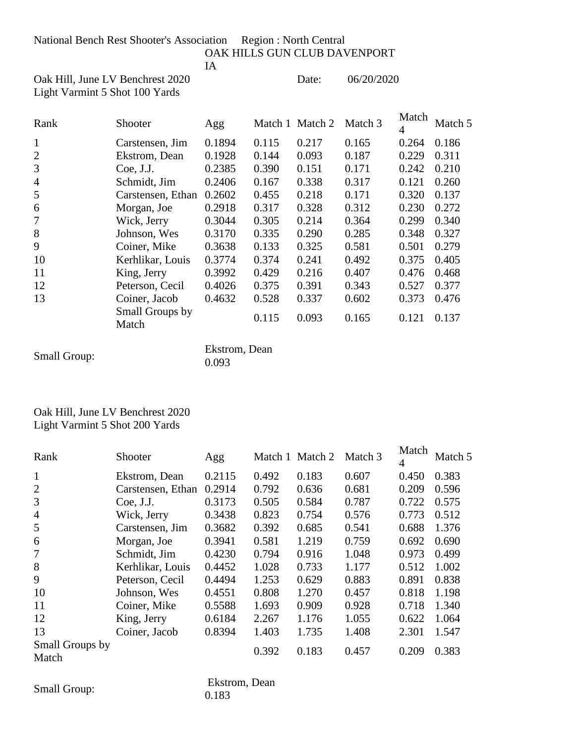National Bench Rest Shooter's Association Region : North Central

OAK HILLS GUN CLUB DAVENPORT

IA

Oak Hill, June LV Benchrest 2020 Date: 06/20/2020 Light Varmint 5 Shot 100 Yards

| Rank           | Shooter                  | Agg    |       | Match 1 Match 2 | Match 3 | Match<br>4 | Match 5 |
|----------------|--------------------------|--------|-------|-----------------|---------|------------|---------|
| 1              | Carstensen, Jim          | 0.1894 | 0.115 | 0.217           | 0.165   | 0.264      | 0.186   |
| $\overline{2}$ | Ekstrom, Dean            | 0.1928 | 0.144 | 0.093           | 0.187   | 0.229      | 0.311   |
| 3              | Coe, J.J.                | 0.2385 | 0.390 | 0.151           | 0.171   | 0.242      | 0.210   |
| $\overline{4}$ | Schmidt, Jim             | 0.2406 | 0.167 | 0.338           | 0.317   | 0.121      | 0.260   |
| 5              | Carstensen, Ethan        | 0.2602 | 0.455 | 0.218           | 0.171   | 0.320      | 0.137   |
| 6              | Morgan, Joe              | 0.2918 | 0.317 | 0.328           | 0.312   | 0.230      | 0.272   |
| 7              | Wick, Jerry              | 0.3044 | 0.305 | 0.214           | 0.364   | 0.299      | 0.340   |
| 8              | Johnson, Wes             | 0.3170 | 0.335 | 0.290           | 0.285   | 0.348      | 0.327   |
| 9              | Coiner, Mike             | 0.3638 | 0.133 | 0.325           | 0.581   | 0.501      | 0.279   |
| 10             | Kerhlikar, Louis         | 0.3774 | 0.374 | 0.241           | 0.492   | 0.375      | 0.405   |
| 11             | King, Jerry              | 0.3992 | 0.429 | 0.216           | 0.407   | 0.476      | 0.468   |
| 12             | Peterson, Cecil          | 0.4026 | 0.375 | 0.391           | 0.343   | 0.527      | 0.377   |
| 13             | Coiner, Jacob            | 0.4632 | 0.528 | 0.337           | 0.602   | 0.373      | 0.476   |
|                | Small Groups by<br>Match |        | 0.115 | 0.093           | 0.165   | 0.121      | 0.137   |

|                     | Ekstrom, Dean |
|---------------------|---------------|
| <b>Small Group:</b> | 0.093         |

## Oak Hill, June LV Benchrest 2020 Light Varmint 5 Shot 200 Yards

| Rank                     | Shooter           | Agg    |       | Match 1 Match 2 | Match 3 | Match<br>4 | Match 5 |
|--------------------------|-------------------|--------|-------|-----------------|---------|------------|---------|
| $\mathbf{1}$             | Ekstrom, Dean     | 0.2115 | 0.492 | 0.183           | 0.607   | 0.450      | 0.383   |
| $\overline{2}$           | Carstensen, Ethan | 0.2914 | 0.792 | 0.636           | 0.681   | 0.209      | 0.596   |
| 3                        | Coe, J.J.         | 0.3173 | 0.505 | 0.584           | 0.787   | 0.722      | 0.575   |
| $\overline{4}$           | Wick, Jerry       | 0.3438 | 0.823 | 0.754           | 0.576   | 0.773      | 0.512   |
| 5                        | Carstensen, Jim   | 0.3682 | 0.392 | 0.685           | 0.541   | 0.688      | 1.376   |
| 6                        | Morgan, Joe       | 0.3941 | 0.581 | 1.219           | 0.759   | 0.692      | 0.690   |
| 7                        | Schmidt, Jim      | 0.4230 | 0.794 | 0.916           | 1.048   | 0.973      | 0.499   |
| 8                        | Kerhlikar, Louis  | 0.4452 | 1.028 | 0.733           | 1.177   | 0.512      | 1.002   |
| 9                        | Peterson, Cecil   | 0.4494 | 1.253 | 0.629           | 0.883   | 0.891      | 0.838   |
| 10                       | Johnson, Wes      | 0.4551 | 0.808 | 1.270           | 0.457   | 0.818      | 1.198   |
| 11                       | Coiner, Mike      | 0.5588 | 1.693 | 0.909           | 0.928   | 0.718      | 1.340   |
| 12                       | King, Jerry       | 0.6184 | 2.267 | 1.176           | 1.055   | 0.622      | 1.064   |
| 13                       | Coiner, Jacob     | 0.8394 | 1.403 | 1.735           | 1.408   | 2.301      | 1.547   |
| Small Groups by<br>Match |                   |        | 0.392 | 0.183           | 0.457   | 0.209      | 0.383   |